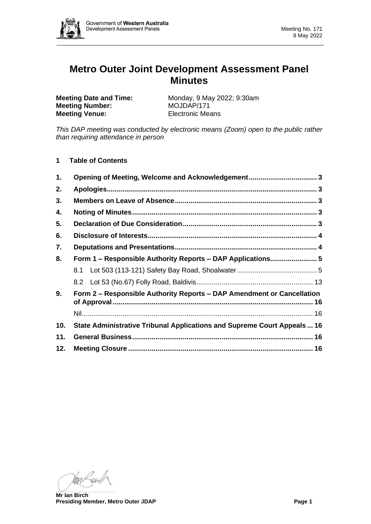

# **Metro Outer Joint Development Assessment Panel Minutes**

**Meeting Number:** MOJDAP/171 **Meeting Venue:** Electronic Means

**Meeting Date and Time:** Monday, 9 May 2022; 9:30am

*This DAP meeting was conducted by electronic means (Zoom) open to the public rather than requiring attendance in person*

**1 Table of Contents**

| 1.             |                                                                         |  |  |  |  |
|----------------|-------------------------------------------------------------------------|--|--|--|--|
| 2.             |                                                                         |  |  |  |  |
| 3.             |                                                                         |  |  |  |  |
| 4.             |                                                                         |  |  |  |  |
| 5.             |                                                                         |  |  |  |  |
| 6.             |                                                                         |  |  |  |  |
| 7.             |                                                                         |  |  |  |  |
| 8.             | Form 1 – Responsible Authority Reports – DAP Applications 5             |  |  |  |  |
|                |                                                                         |  |  |  |  |
|                |                                                                         |  |  |  |  |
| 9 <sub>1</sub> | Form 2 – Responsible Authority Reports – DAP Amendment or Cancellation  |  |  |  |  |
|                |                                                                         |  |  |  |  |
| 10.            | State Administrative Tribunal Applications and Supreme Court Appeals 16 |  |  |  |  |
| 11.            |                                                                         |  |  |  |  |
| 12.            |                                                                         |  |  |  |  |

Van Laid

**Mr Ian Birch Presiding Member, Metro Outer JDAP Page 1**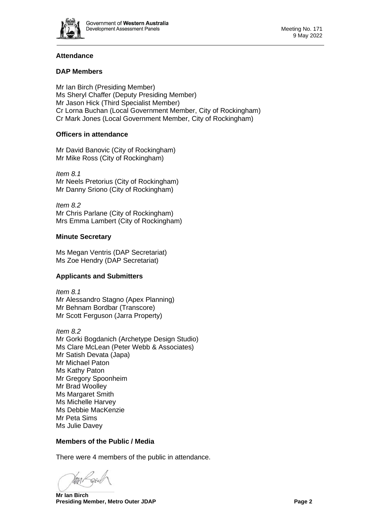

# **Attendance**

# **DAP Members**

Mr Ian Birch (Presiding Member) Ms Sheryl Chaffer (Deputy Presiding Member) Mr Jason Hick (Third Specialist Member) Cr Lorna Buchan (Local Government Member, City of Rockingham) Cr Mark Jones (Local Government Member, City of Rockingham)

# **Officers in attendance**

Mr David Banovic (City of Rockingham) Mr Mike Ross (City of Rockingham)

*Item 8.1* Mr Neels Pretorius (City of Rockingham) Mr Danny Sriono (City of Rockingham)

*Item 8.2* Mr Chris Parlane (City of Rockingham) Mrs Emma Lambert (City of Rockingham)

# **Minute Secretary**

Ms Megan Ventris (DAP Secretariat) Ms Zoe Hendry (DAP Secretariat)

# **Applicants and Submitters**

*Item 8.1* Mr Alessandro Stagno (Apex Planning) Mr Behnam Bordbar (Transcore) Mr Scott Ferguson (Jarra Property)

*Item 8.2* Mr Gorki Bogdanich (Archetype Design Studio) Ms Clare McLean (Peter Webb & Associates) Mr Satish Devata (Japa) Mr Michael Paton Ms Kathy Paton Mr Gregory Spoonheim Mr Brad Woolley Ms Margaret Smith Ms Michelle Harvey Ms Debbie MacKenzie Mr Peta Sims Ms Julie Davey

# **Members of the Public / Media**

There were 4 members of the public in attendance.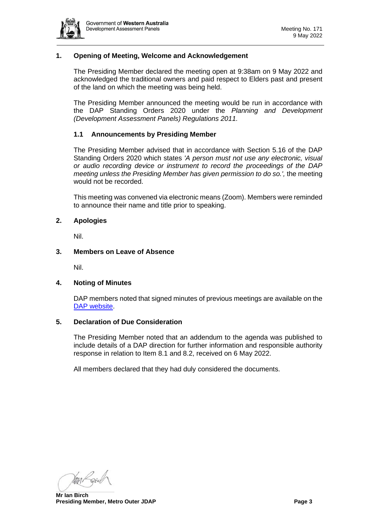

# <span id="page-2-0"></span>**1. Opening of Meeting, Welcome and Acknowledgement**

The Presiding Member declared the meeting open at 9:38am on 9 May 2022 and acknowledged the traditional owners and paid respect to Elders past and present of the land on which the meeting was being held.

The Presiding Member announced the meeting would be run in accordance with the DAP Standing Orders 2020 under the *Planning and Development (Development Assessment Panels) Regulations 2011.*

### **1.1 Announcements by Presiding Member**

The Presiding Member advised that in accordance with Section 5.16 of the DAP Standing Orders 2020 which states *'A person must not use any electronic, visual or audio recording device or instrument to record the proceedings of the DAP meeting unless the Presiding Member has given permission to do so.',* the meeting would not be recorded.

This meeting was convened via electronic means (Zoom). Members were reminded to announce their name and title prior to speaking.

### <span id="page-2-1"></span>**2. Apologies**

Nil.

### <span id="page-2-2"></span>**3. Members on Leave of Absence**

Nil.

### <span id="page-2-3"></span>**4. Noting of Minutes**

DAP members noted that signed minutes of previous meetings are available on the [DAP website.](https://www.dplh.wa.gov.au/about/development-assessment-panels/daps-agendas-and-minutes)

#### <span id="page-2-4"></span>**5. Declaration of Due Consideration**

The Presiding Member noted that an addendum to the agenda was published to include details of a DAP direction for further information and responsible authority response in relation to Item 8.1 and 8.2, received on 6 May 2022.

<span id="page-2-5"></span>All members declared that they had duly considered the documents.

Van Reich

**Mr Ian Birch Presiding Member, Metro Outer JDAP Page 3**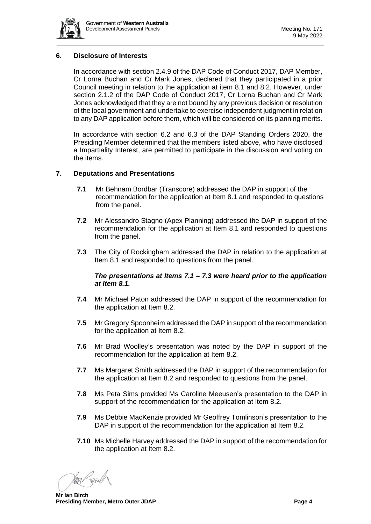

# **6. Disclosure of Interests**

In accordance with section 2.4.9 of the DAP Code of Conduct 2017, DAP Member, Cr Lorna Buchan and Cr Mark Jones, declared that they participated in a prior Council meeting in relation to the application at item 8.1 and 8.2. However, under section 2.1.2 of the DAP Code of Conduct 2017, Cr Lorna Buchan and Cr Mark Jones acknowledged that they are not bound by any previous decision or resolution of the local government and undertake to exercise independent judgment in relation to any DAP application before them, which will be considered on its planning merits.

In accordance with section 6.2 and 6.3 of the DAP Standing Orders 2020, the Presiding Member determined that the members listed above, who have disclosed a Impartiality Interest, are permitted to participate in the discussion and voting on the items.

# <span id="page-3-0"></span>**7. Deputations and Presentations**

- **7.1** Mr Behnam Bordbar (Transcore) addressed the DAP in support of the recommendation for the application at Item 8.1 and responded to questions from the panel.
- **7.2** Mr Alessandro Stagno (Apex Planning) addressed the DAP in support of the recommendation for the application at Item 8.1 and responded to questions from the panel.
- **7.3** The City of Rockingham addressed the DAP in relation to the application at Item 8.1 and responded to questions from the panel.

# *The presentations at Items 7.1 – 7.3 were heard prior to the application at Item 8.1.*

- **7.4** Mr Michael Paton addressed the DAP in support of the recommendation for the application at Item 8.2.
- **7.5** Mr Gregory Spoonheim addressed the DAP in support of the recommendation for the application at Item 8.2.
- **7.6** Mr Brad Woolley's presentation was noted by the DAP in support of the recommendation for the application at Item 8.2.
- **7.7** Ms Margaret Smith addressed the DAP in support of the recommendation for the application at Item 8.2 and responded to questions from the panel.
- **7.8** Ms Peta Sims provided Ms Caroline Meeusen's presentation to the DAP in support of the recommendation for the application at Item 8.2.
- **7.9** Ms Debbie MacKenzie provided Mr Geoffrey Tomlinson's presentation to the DAP in support of the recommendation for the application at Item 8.2.
- **7.10** Ms Michelle Harvey addressed the DAP in support of the recommendation for the application at Item 8.2.

MAR Raig

**Mr Ian Birch Presiding Member, Metro Outer JDAP Page 4**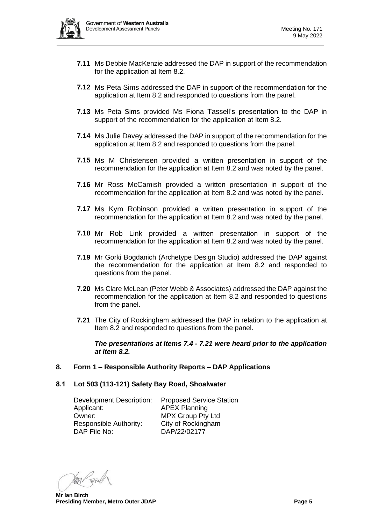

- **7.11** Ms Debbie MacKenzie addressed the DAP in support of the recommendation for the application at Item 8.2.
- **7.12** Ms Peta Sims addressed the DAP in support of the recommendation for the application at Item 8.2 and responded to questions from the panel.
- **7.13** Ms Peta Sims provided Ms Fiona Tassell's presentation to the DAP in support of the recommendation for the application at Item 8.2.
- **7.14** Ms Julie Davey addressed the DAP in support of the recommendation for the application at Item 8.2 and responded to questions from the panel.
- **7.15** Ms M Christensen provided a written presentation in support of the recommendation for the application at Item 8.2 and was noted by the panel.
- **7.16** Mr Ross McCamish provided a written presentation in support of the recommendation for the application at Item 8.2 and was noted by the panel.
- **7.17** Ms Kym Robinson provided a written presentation in support of the recommendation for the application at Item 8.2 and was noted by the panel.
- **7.18** Mr Rob Link provided a written presentation in support of the recommendation for the application at Item 8.2 and was noted by the panel.
- **7.19** Mr Gorki Bogdanich (Archetype Design Studio) addressed the DAP against the recommendation for the application at Item 8.2 and responded to questions from the panel.
- **7.20** Ms Clare McLean (Peter Webb & Associates) addressed the DAP against the recommendation for the application at Item 8.2 and responded to questions from the panel.
- **7.21** The City of Rockingham addressed the DAP in relation to the application at Item 8.2 and responded to questions from the panel.

*The presentations at Items 7.4 - 7.21 were heard prior to the application at Item 8.2.* 

- <span id="page-4-0"></span>**8. Form 1 – Responsible Authority Reports – DAP Applications**
- <span id="page-4-1"></span>**8.1 Lot 503 (113-121) Safety Bay Road, Shoalwater**

Development Description: Proposed Service Station Applicant: APEX Planning Owner: MPX Group Pty Ltd Responsible Authority: City of Rockingham DAP File No: DAP/22/02177

Man Reich

**Mr Ian Birch Presiding Member, Metro Outer JDAP Page 5**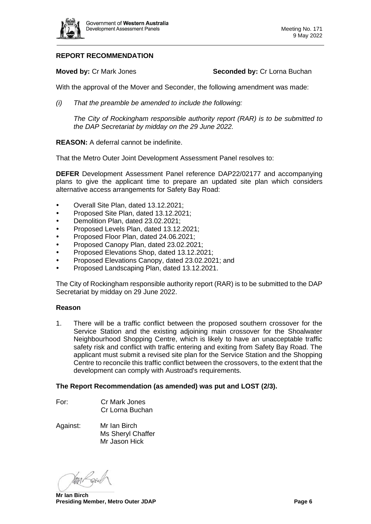

# **REPORT RECOMMENDATION**

**Moved by: Cr Mark Jones <b>Seconded by: Cr Lorna Buchan** 

With the approval of the Mover and Seconder, the following amendment was made:

*(i) That the preamble be amended to include the following:*

*The City of Rockingham responsible authority report (RAR) is to be submitted to the DAP Secretariat by midday on the 29 June 2022.*

# **REASON:** A deferral cannot be indefinite.

That the Metro Outer Joint Development Assessment Panel resolves to:

**DEFER** Development Assessment Panel reference DAP22/02177 and accompanying plans to give the applicant time to prepare an updated site plan which considers alternative access arrangements for Safety Bay Road:

- Overall Site Plan, dated 13.12.2021;
- Proposed Site Plan, dated 13.12.2021;
- Demolition Plan, dated 23.02.2021;
- Proposed Levels Plan, dated 13.12.2021;
- Proposed Floor Plan, dated 24.06.2021;
- Proposed Canopy Plan, dated 23.02.2021;
- Proposed Elevations Shop, dated 13.12.2021;
- Proposed Elevations Canopy, dated 23.02.2021; and
- Proposed Landscaping Plan, dated 13.12.2021.

The City of Rockingham responsible authority report (RAR) is to be submitted to the DAP Secretariat by midday on 29 June 2022.

### **Reason**

1. There will be a traffic conflict between the proposed southern crossover for the Service Station and the existing adjoining main crossover for the Shoalwater Neighbourhood Shopping Centre, which is likely to have an unacceptable traffic safety risk and conflict with traffic entering and exiting from Safety Bay Road. The applicant must submit a revised site plan for the Service Station and the Shopping Centre to reconcile this traffic conflict between the crossovers, to the extent that the development can comply with Austroad's requirements.

### **The Report Recommendation (as amended) was put and LOST (2/3).**

- For: Cr Mark Jones Cr Lorna Buchan
- Against: Mr Ian Birch Ms Sheryl Chaffer Mr Jason Hick

Man Revil

**Mr Ian Birch Presiding Member, Metro Outer JDAP Page 6**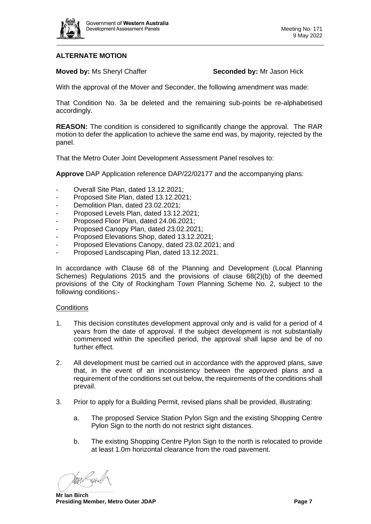

# **ALTERNATE MOTION**

**Moved by: Ms Sheryl Chaffer <b>Seconded by:** Mr Jason Hick

With the approval of the Mover and Seconder, the following amendment was made:

That Condition No. 3a be deleted and the remaining sub-points be re-alphabetised accordingly.

**REASON:** The condition is considered to significantly change the approval. The RAR motion to defer the application to achieve the same end was, by majority, rejected by the panel.

That the Metro Outer Joint Development Assessment Panel resolves to:

**Approve** DAP Application reference DAP/22/02177 and the accompanying plans:

- Overall Site Plan, dated 13.12.2021;
- Proposed Site Plan, dated 13.12.2021;
- Demolition Plan, dated 23.02.2021;
- Proposed Levels Plan, dated 13.12.2021;
- Proposed Floor Plan, dated 24.06.2021;
- Proposed Canopy Plan, dated 23.02.2021;
- Proposed Elevations Shop, dated 13.12.2021;
- Proposed Elevations Canopy, dated 23.02.2021; and
- Proposed Landscaping Plan, dated 13.12.2021.

In accordance with Clause 68 of the Planning and Development (Local Planning Schemes) Regulations 2015 and the provisions of clause 68(2)(b) of the deemed provisions of the City of Rockingham Town Planning Scheme No. 2, subject to the following conditions:-

### **Conditions**

- 1. This decision constitutes development approval only and is valid for a period of 4 years from the date of approval. If the subject development is not substantially commenced within the specified period, the approval shall lapse and be of no further effect.
- 2. All development must be carried out in accordance with the approved plans, save that, in the event of an inconsistency between the approved plans and a requirement of the conditions set out below, the requirements of the conditions shall prevail.
- 3. Prior to apply for a Building Permit, revised plans shall be provided, illustrating:
	- a. The proposed Service Station Pylon Sign and the existing Shopping Centre Pylon Sign to the north do not restrict sight distances.
	- b. The existing Shopping Centre Pylon Sign to the north is relocated to provide at least 1.0m horizontal clearance from the road pavement.

MAN Parcel

**Mr Ian Birch Presiding Member, Metro Outer JDAP Page 7**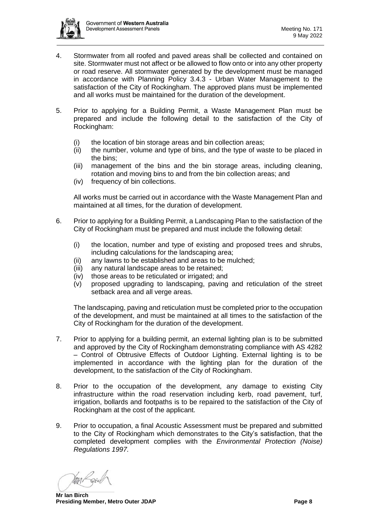

- 4. Stormwater from all roofed and paved areas shall be collected and contained on site. Stormwater must not affect or be allowed to flow onto or into any other property or road reserve. All stormwater generated by the development must be managed in accordance with Planning Policy 3.4.3 - Urban Water Management to the satisfaction of the City of Rockingham. The approved plans must be implemented and all works must be maintained for the duration of the development.
- 5. Prior to applying for a Building Permit, a Waste Management Plan must be prepared and include the following detail to the satisfaction of the City of Rockingham:
	- (i) the location of bin storage areas and bin collection areas;
	- (ii) the number, volume and type of bins, and the type of waste to be placed in the bins;
	- (iii) management of the bins and the bin storage areas, including cleaning, rotation and moving bins to and from the bin collection areas; and
	- (iv) frequency of bin collections.

All works must be carried out in accordance with the Waste Management Plan and maintained at all times, for the duration of development.

- 6. Prior to applying for a Building Permit, a Landscaping Plan to the satisfaction of the City of Rockingham must be prepared and must include the following detail:
	- (i) the location, number and type of existing and proposed trees and shrubs, including calculations for the landscaping area;
	- (ii) any lawns to be established and areas to be mulched;
	- (iii) any natural landscape areas to be retained;
	- (iv) those areas to be reticulated or irrigated; and
	- (v) proposed upgrading to landscaping, paving and reticulation of the street setback area and all verge areas.

The landscaping, paving and reticulation must be completed prior to the occupation of the development, and must be maintained at all times to the satisfaction of the City of Rockingham for the duration of the development.

- 7. Prior to applying for a building permit, an external lighting plan is to be submitted and approved by the City of Rockingham demonstrating compliance with AS 4282 – Control of Obtrusive Effects of Outdoor Lighting. External lighting is to be implemented in accordance with the lighting plan for the duration of the development, to the satisfaction of the City of Rockingham.
- 8. Prior to the occupation of the development, any damage to existing City infrastructure within the road reservation including kerb, road pavement, turf, irrigation, bollards and footpaths is to be repaired to the satisfaction of the City of Rockingham at the cost of the applicant.
- 9. Prior to occupation, a final Acoustic Assessment must be prepared and submitted to the City of Rockingham which demonstrates to the City's satisfaction, that the completed development complies with the *Environmental Protection (Noise) Regulations 1997.*

gan/ Soic

**Mr Ian Birch Presiding Member, Metro Outer JDAP Page 8**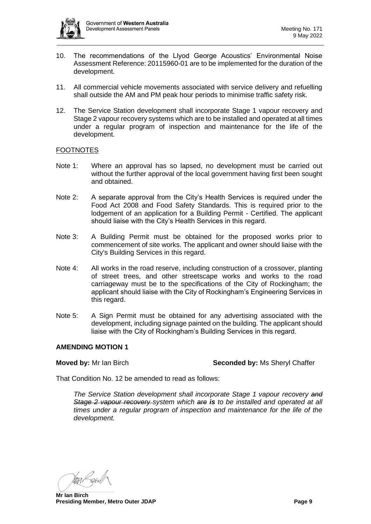

- 10. The recommendations of the Llyod George Acoustics' Environmental Noise Assessment Reference: 20115960-01 are to be implemented for the duration of the development.
- 11. All commercial vehicle movements associated with service delivery and refuelling shall outside the AM and PM peak hour periods to minimise traffic safety risk.
- 12. The Service Station development shall incorporate Stage 1 vapour recovery and Stage 2 vapour recovery systems which are to be installed and operated at all times under a regular program of inspection and maintenance for the life of the development.

# **FOOTNOTES**

- Note 1: Where an approval has so lapsed, no development must be carried out without the further approval of the local government having first been sought and obtained.
- Note 2: A separate approval from the City's Health Services is required under the Food Act 2008 and Food Safety Standards. This is required prior to the lodgement of an application for a Building Permit - Certified. The applicant should liaise with the City's Health Services in this regard.
- Note 3: A Building Permit must be obtained for the proposed works prior to commencement of site works. The applicant and owner should liaise with the City's Building Services in this regard.
- Note 4: All works in the road reserve, including construction of a crossover, planting of street trees, and other streetscape works and works to the road carriageway must be to the specifications of the City of Rockingham; the applicant should liaise with the City of Rockingham's Engineering Services in this regard.
- Note 5: A Sign Permit must be obtained for any advertising associated with the development, including signage painted on the building. The applicant should liaise with the City of Rockingham's Building Services in this regard.

### **AMENDING MOTION 1**

**Moved by:** Mr Ian Birch **Seconded by:** Ms Sheryl Chaffer

That Condition No. 12 be amended to read as follows:

*The Service Station development shall incorporate Stage 1 vapour recovery and Stage 2 vapour recovery system which are is to be installed and operated at all times under a regular program of inspection and maintenance for the life of the development.* 

Van Para

**Mr Ian Birch Presiding Member, Metro Outer JDAP Page 9**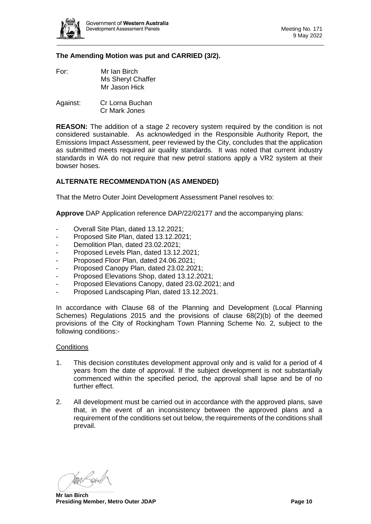

# **The Amending Motion was put and CARRIED (3/2).**

- For: Mr Ian Birch Ms Sheryl Chaffer Mr Jason Hick
- Against: Cr Lorna Buchan Cr Mark Jones

**REASON:** The addition of a stage 2 recovery system required by the condition is not considered sustainable. As acknowledged in the Responsible Authority Report, the Emissions Impact Assessment, peer reviewed by the City, concludes that the application as submitted meets required air quality standards. It was noted that current industry standards in WA do not require that new petrol stations apply a VR2 system at their bowser hoses.

# **ALTERNATE RECOMMENDATION (AS AMENDED)**

That the Metro Outer Joint Development Assessment Panel resolves to:

**Approve** DAP Application reference DAP/22/02177 and the accompanying plans:

- Overall Site Plan, dated 13.12.2021:
- Proposed Site Plan, dated 13.12.2021;
- Demolition Plan, dated 23.02.2021;
- Proposed Levels Plan, dated 13.12.2021;
- Proposed Floor Plan, dated 24.06.2021;
- Proposed Canopy Plan, dated 23.02.2021;
- Proposed Elevations Shop, dated 13.12.2021;
- Proposed Elevations Canopy, dated 23.02.2021; and
- Proposed Landscaping Plan, dated 13.12.2021.

In accordance with Clause 68 of the Planning and Development (Local Planning Schemes) Regulations 2015 and the provisions of clause 68(2)(b) of the deemed provisions of the City of Rockingham Town Planning Scheme No. 2, subject to the following conditions:-

#### **Conditions**

- 1. This decision constitutes development approval only and is valid for a period of 4 years from the date of approval. If the subject development is not substantially commenced within the specified period, the approval shall lapse and be of no further effect.
- 2. All development must be carried out in accordance with the approved plans, save that, in the event of an inconsistency between the approved plans and a requirement of the conditions set out below, the requirements of the conditions shall prevail.

Man Revil

**Mr Ian Birch Presiding Member, Metro Outer JDAP Page 10**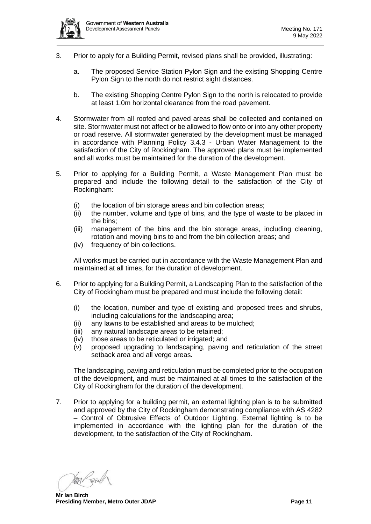

- 3. Prior to apply for a Building Permit, revised plans shall be provided, illustrating:
	- a. The proposed Service Station Pylon Sign and the existing Shopping Centre Pylon Sign to the north do not restrict sight distances.
	- b. The existing Shopping Centre Pylon Sign to the north is relocated to provide at least 1.0m horizontal clearance from the road pavement.
- 4. Stormwater from all roofed and paved areas shall be collected and contained on site. Stormwater must not affect or be allowed to flow onto or into any other property or road reserve. All stormwater generated by the development must be managed in accordance with Planning Policy 3.4.3 - Urban Water Management to the satisfaction of the City of Rockingham. The approved plans must be implemented and all works must be maintained for the duration of the development.
- 5. Prior to applying for a Building Permit, a Waste Management Plan must be prepared and include the following detail to the satisfaction of the City of Rockingham:
	- (i) the location of bin storage areas and bin collection areas;
	- (ii) the number, volume and type of bins, and the type of waste to be placed in the bins;
	- (iii) management of the bins and the bin storage areas, including cleaning, rotation and moving bins to and from the bin collection areas; and
	- (iv) frequency of bin collections.

All works must be carried out in accordance with the Waste Management Plan and maintained at all times, for the duration of development.

- 6. Prior to applying for a Building Permit, a Landscaping Plan to the satisfaction of the City of Rockingham must be prepared and must include the following detail:
	- (i) the location, number and type of existing and proposed trees and shrubs, including calculations for the landscaping area;
	- (ii) any lawns to be established and areas to be mulched;
	- (iii) any natural landscape areas to be retained;
	- (iv) those areas to be reticulated or irrigated; and
	- (v) proposed upgrading to landscaping, paving and reticulation of the street setback area and all verge areas.

The landscaping, paving and reticulation must be completed prior to the occupation of the development, and must be maintained at all times to the satisfaction of the City of Rockingham for the duration of the development.

7. Prior to applying for a building permit, an external lighting plan is to be submitted and approved by the City of Rockingham demonstrating compliance with AS 4282 – Control of Obtrusive Effects of Outdoor Lighting. External lighting is to be implemented in accordance with the lighting plan for the duration of the development, to the satisfaction of the City of Rockingham.

Man Reich

**Mr Ian Birch Presiding Member, Metro Outer JDAP Page 11**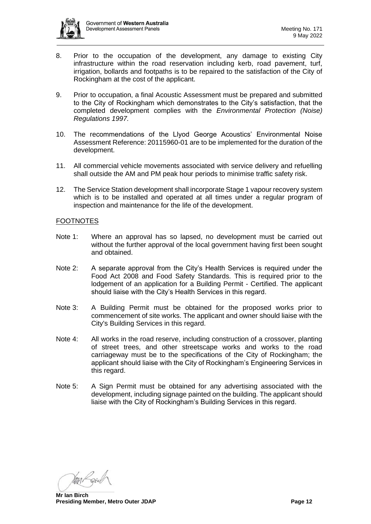

- 8. Prior to the occupation of the development, any damage to existing City infrastructure within the road reservation including kerb, road pavement, turf, irrigation, bollards and footpaths is to be repaired to the satisfaction of the City of Rockingham at the cost of the applicant.
- 9. Prior to occupation, a final Acoustic Assessment must be prepared and submitted to the City of Rockingham which demonstrates to the City's satisfaction, that the completed development complies with the *Environmental Protection (Noise) Regulations 1997.*
- 10. The recommendations of the Llyod George Acoustics' Environmental Noise Assessment Reference: 20115960-01 are to be implemented for the duration of the development.
- 11. All commercial vehicle movements associated with service delivery and refuelling shall outside the AM and PM peak hour periods to minimise traffic safety risk.
- 12. The Service Station development shall incorporate Stage 1 vapour recovery system which is to be installed and operated at all times under a regular program of inspection and maintenance for the life of the development.

# FOOTNOTES

- Note 1: Where an approval has so lapsed, no development must be carried out without the further approval of the local government having first been sought and obtained.
- Note 2: A separate approval from the City's Health Services is required under the Food Act 2008 and Food Safety Standards. This is required prior to the lodgement of an application for a Building Permit - Certified. The applicant should liaise with the City's Health Services in this regard.
- Note 3: A Building Permit must be obtained for the proposed works prior to commencement of site works. The applicant and owner should liaise with the City's Building Services in this regard.
- Note 4: All works in the road reserve, including construction of a crossover, planting of street trees, and other streetscape works and works to the road carriageway must be to the specifications of the City of Rockingham; the applicant should liaise with the City of Rockingham's Engineering Services in this regard.
- Note 5: A Sign Permit must be obtained for any advertising associated with the development, including signage painted on the building. The applicant should liaise with the City of Rockingham's Building Services in this regard.

Van Para

**Mr Ian Birch Presiding Member, Metro Outer JDAP Page 12**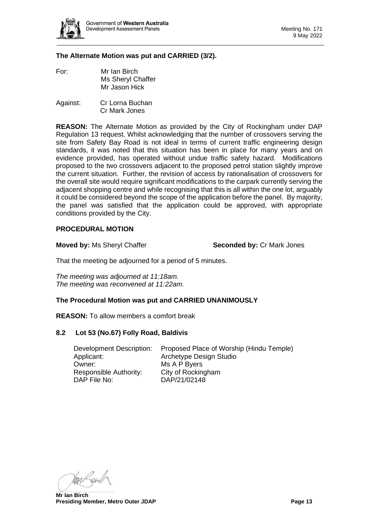

# **The Alternate Motion was put and CARRIED (3/2).**

- For: Mr Ian Birch Ms Sheryl Chaffer Mr Jason Hick
- Against: Cr Lorna Buchan Cr Mark Jones

**REASON:** The Alternate Motion as provided by the City of Rockingham under DAP Regulation 13 request. Whilst acknowledging that the number of crossovers serving the site from Safety Bay Road is not ideal in terms of current traffic engineering design standards, it was noted that this situation has been in place for many years and on evidence provided, has operated without undue traffic safety hazard. Modifications proposed to the two crossovers adjacent to the proposed petrol station slightly improve the current situation. Further, the revision of access by rationalisation of crossovers for the overall site would require significant modifications to the carpark currently serving the adjacent shopping centre and while recognising that this is all within the one lot, arguably it could be considered beyond the scope of the application before the panel. By majority, the panel was satisfied that the application could be approved, with appropriate conditions provided by the City.

### **PROCEDURAL MOTION**

**Moved by: Ms Sheryl Chaffer <b>Seconded by: Cr Mark Jones Seconded by: Cr Mark Jones** 

That the meeting be adjourned for a period of 5 minutes.

*The meeting was adjourned at 11:18am. The meeting was reconvened at 11:22am.*

### **The Procedural Motion was put and CARRIED UNANIMOUSLY**

**REASON:** To allow members a comfort break

### **8.2 Lot 53 (No.67) Folly Road, Baldivis**

Applicant: Archetype Design Studio Owner: Ms A P Byers Responsible Authority: City of Rockingham DAP File No: DAP/21/02148

<span id="page-12-0"></span>Development Description: Proposed Place of Worship (Hindu Temple)

Man Reich

**Mr Ian Birch Presiding Member, Metro Outer JDAP Page 13**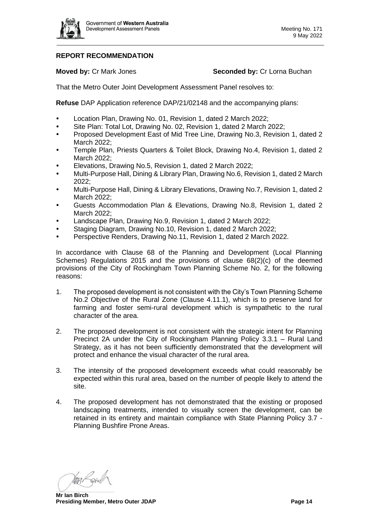

# **REPORT RECOMMENDATION**

# **Moved by: Cr Mark Jones <b>Seconded by: Cr Lorna Buchan**

That the Metro Outer Joint Development Assessment Panel resolves to:

**Refuse** DAP Application reference DAP/21/02148 and the accompanying plans:

- Location Plan, Drawing No. 01, Revision 1, dated 2 March 2022;
- Site Plan: Total Lot, Drawing No. 02, Revision 1, dated 2 March 2022;
- Proposed Development East of Mid Tree Line, Drawing No.3, Revision 1, dated 2 March 2022;
- Temple Plan, Priests Quarters & Toilet Block, Drawing No.4, Revision 1, dated 2 March 2022;
- Elevations, Drawing No.5, Revision 1, dated 2 March 2022;
- Multi-Purpose Hall, Dining & Library Plan, Drawing No.6, Revision 1, dated 2 March 2022;
- Multi-Purpose Hall, Dining & Library Elevations, Drawing No.7, Revision 1, dated 2 March 2022;
- Guests Accommodation Plan & Elevations, Drawing No.8, Revision 1, dated 2 March 2022;
- Landscape Plan, Drawing No.9, Revision 1, dated 2 March 2022;
- Staging Diagram, Drawing No.10, Revision 1, dated 2 March 2022;
- Perspective Renders, Drawing No.11, Revision 1, dated 2 March 2022.

In accordance with Clause 68 of the Planning and Development (Local Planning Schemes) Regulations 2015 and the provisions of clause 68(2)(c) of the deemed provisions of the City of Rockingham Town Planning Scheme No. 2, for the following reasons:

- 1. The proposed development is not consistent with the City's Town Planning Scheme No.2 Objective of the Rural Zone (Clause 4.11.1), which is to preserve land for farming and foster semi-rural development which is sympathetic to the rural character of the area.
- 2. The proposed development is not consistent with the strategic intent for Planning Precinct 2A under the City of Rockingham Planning Policy 3.3.1 – Rural Land Strategy, as it has not been sufficiently demonstrated that the development will protect and enhance the visual character of the rural area.
- 3. The intensity of the proposed development exceeds what could reasonably be expected within this rural area, based on the number of people likely to attend the site.
- 4. The proposed development has not demonstrated that the existing or proposed landscaping treatments, intended to visually screen the development, can be retained in its entirety and maintain compliance with State Planning Policy 3.7 - Planning Bushfire Prone Areas.

Van Reich

**Mr Ian Birch Presiding Member, Metro Outer JDAP Page 14 Page 14 Page 14**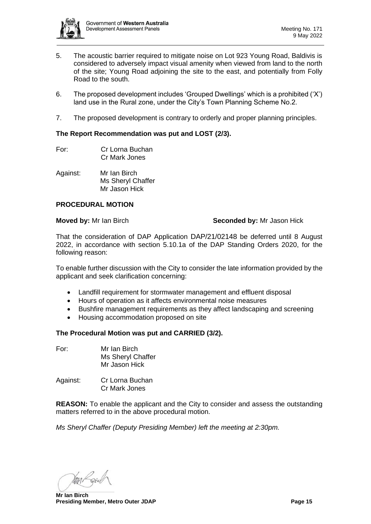

- 5. The acoustic barrier required to mitigate noise on Lot 923 Young Road, Baldivis is considered to adversely impact visual amenity when viewed from land to the north of the site; Young Road adjoining the site to the east, and potentially from Folly Road to the south.
- 6. The proposed development includes 'Grouped Dwellings' which is a prohibited ('X') land use in the Rural zone, under the City's Town Planning Scheme No.2.
- 7. The proposed development is contrary to orderly and proper planning principles.

# **The Report Recommendation was put and LOST (2/3).**

- For: Cr Lorna Buchan Cr Mark Jones
- Against: Mr Ian Birch Ms Sheryl Chaffer Mr Jason Hick

# **PROCEDURAL MOTION**

# **Moved by:** Mr Ian Birch **Seconded by:** Mr Jason Hick

That the consideration of DAP Application DAP/21/02148 be deferred until 8 August 2022, in accordance with section 5.10.1a of the DAP Standing Orders 2020, for the following reason:

To enable further discussion with the City to consider the late information provided by the applicant and seek clarification concerning:

- Landfill requirement for stormwater management and effluent disposal
- Hours of operation as it affects environmental noise measures
- Bushfire management requirements as they affect landscaping and screening
- Housing accommodation proposed on site

# **The Procedural Motion was put and CARRIED (3/2).**

| For: | Mr Ian Birch      |
|------|-------------------|
|      | Ms Sheryl Chaffer |
|      | Mr Jason Hick     |
|      |                   |

Against: Cr Lorna Buchan Cr Mark Jones

**REASON:** To enable the applicant and the City to consider and assess the outstanding matters referred to in the above procedural motion.

*Ms Sheryl Chaffer (Deputy Presiding Member) left the meeting at 2:30pm.*

Van Reich

**Mr Ian Birch Presiding Member, Metro Outer JDAP Page 15 Page 15 Page 15**